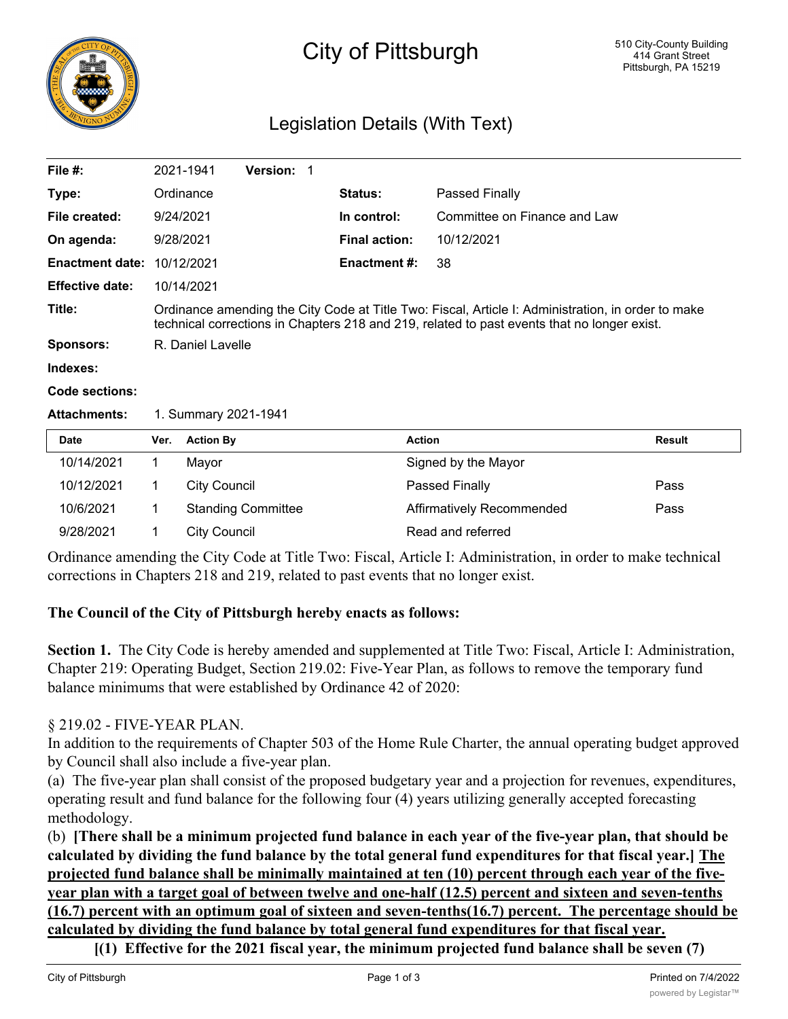

# City of Pittsburgh

# Legislation Details (With Text)

| File $#$ :             |                                                                                                                                                                                                   | 2021-1941                 | Version: 1 |  |                      |                              |        |
|------------------------|---------------------------------------------------------------------------------------------------------------------------------------------------------------------------------------------------|---------------------------|------------|--|----------------------|------------------------------|--------|
| Type:                  |                                                                                                                                                                                                   | Ordinance                 |            |  | <b>Status:</b>       | Passed Finally               |        |
| File created:          |                                                                                                                                                                                                   | 9/24/2021                 |            |  | In control:          | Committee on Finance and Law |        |
| On agenda:             |                                                                                                                                                                                                   | 9/28/2021                 |            |  | <b>Final action:</b> | 10/12/2021                   |        |
| <b>Enactment date:</b> |                                                                                                                                                                                                   | 10/12/2021                |            |  | <b>Enactment #:</b>  | 38                           |        |
| <b>Effective date:</b> | 10/14/2021                                                                                                                                                                                        |                           |            |  |                      |                              |        |
| Title:                 | Ordinance amending the City Code at Title Two: Fiscal, Article I: Administration, in order to make<br>technical corrections in Chapters 218 and 219, related to past events that no longer exist. |                           |            |  |                      |                              |        |
| <b>Sponsors:</b>       | R. Daniel Lavelle                                                                                                                                                                                 |                           |            |  |                      |                              |        |
| Indexes:               |                                                                                                                                                                                                   |                           |            |  |                      |                              |        |
| Code sections:         |                                                                                                                                                                                                   |                           |            |  |                      |                              |        |
| <b>Attachments:</b>    | 1. Summary 2021-1941                                                                                                                                                                              |                           |            |  |                      |                              |        |
| <b>Date</b>            | Ver.                                                                                                                                                                                              | <b>Action By</b>          |            |  |                      | <b>Action</b>                | Result |
| 10/14/2021             | 1.                                                                                                                                                                                                | Mayor                     |            |  |                      | Signed by the Mayor          |        |
| 10/12/2021             | 1                                                                                                                                                                                                 | <b>City Council</b>       |            |  |                      | Passed Finally               | Pass   |
| 10/6/2021              | 1.                                                                                                                                                                                                | <b>Standing Committee</b> |            |  |                      | Affirmatively Recommended    | Pass   |
| 9/28/2021              | 1                                                                                                                                                                                                 | <b>City Council</b>       |            |  |                      | Read and referred            |        |

Ordinance amending the City Code at Title Two: Fiscal, Article I: Administration, in order to make technical corrections in Chapters 218 and 219, related to past events that no longer exist.

# **The Council of the City of Pittsburgh hereby enacts as follows:**

**Section 1.** The City Code is hereby amended and supplemented at Title Two: Fiscal, Article I: Administration, Chapter 219: Operating Budget, Section 219.02: Five-Year Plan, as follows to remove the temporary fund balance minimums that were established by Ordinance 42 of 2020:

#### § 219.02 - FIVE-YEAR PLAN.

In addition to the requirements of Chapter 503 of the Home Rule Charter, the annual operating budget approved by Council shall also include a five-year plan.

(a) The five-year plan shall consist of the proposed budgetary year and a projection for revenues, expenditures, operating result and fund balance for the following four (4) years utilizing generally accepted forecasting methodology.

(b) **[There shall be a minimum projected fund balance in each year of the five-year plan, that should be calculated by dividing the fund balance by the total general fund expenditures for that fiscal year.] The projected fund balance shall be minimally maintained at ten (10) percent through each year of the fiveyear plan with a target goal of between twelve and one-half (12.5) percent and sixteen and seven-tenths (16.7) percent with an optimum goal of sixteen and seven-tenths(16.7) percent. The percentage should be calculated by dividing the fund balance by total general fund expenditures for that fiscal year.**

**[(1) Effective for the 2021 fiscal year, the minimum projected fund balance shall be seven (7)**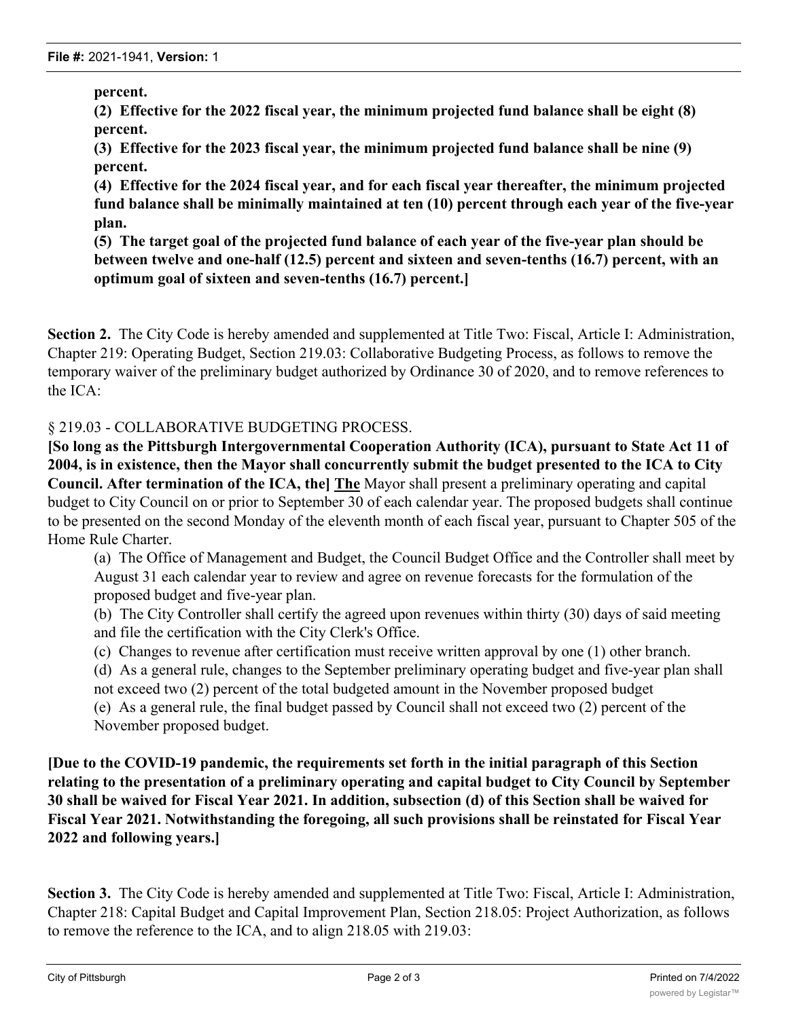**percent.**

**(2) Effective for the 2022 fiscal year, the minimum projected fund balance shall be eight (8) percent.**

**(3) Effective for the 2023 fiscal year, the minimum projected fund balance shall be nine (9) percent.**

**(4) Effective for the 2024 fiscal year, and for each fiscal year thereafter, the minimum projected fund balance shall be minimally maintained at ten (10) percent through each year of the five-year plan.**

**(5) The target goal of the projected fund balance of each year of the five-year plan should be between twelve and one-half (12.5) percent and sixteen and seven-tenths (16.7) percent, with an optimum goal of sixteen and seven-tenths (16.7) percent.]**

**Section 2.** The City Code is hereby amended and supplemented at Title Two: Fiscal, Article I: Administration, Chapter 219: Operating Budget, Section 219.03: Collaborative Budgeting Process, as follows to remove the temporary waiver of the preliminary budget authorized by Ordinance 30 of 2020, and to remove references to the ICA:

# § 219.03 - COLLABORATIVE BUDGETING PROCESS.

**[So long as the Pittsburgh Intergovernmental Cooperation Authority (ICA), pursuant to State Act 11 of 2004, is in existence, then the Mayor shall concurrently submit the budget presented to the ICA to City Council. After termination of the ICA, the] The** Mayor shall present a preliminary operating and capital budget to City Council on or prior to September 30 of each calendar year. The proposed budgets shall continue to be presented on the second Monday of the eleventh month of each fiscal year, pursuant to Chapter 505 of the Home Rule Charter.

(a) The Office of Management and Budget, the Council Budget Office and the Controller shall meet by August 31 each calendar year to review and agree on revenue forecasts for the formulation of the proposed budget and five-year plan.

(b) The City Controller shall certify the agreed upon revenues within thirty (30) days of said meeting and file the certification with the City Clerk's Office.

(c) Changes to revenue after certification must receive written approval by one (1) other branch.

(d) As a general rule, changes to the September preliminary operating budget and five-year plan shall not exceed two (2) percent of the total budgeted amount in the November proposed budget

(e) As a general rule, the final budget passed by Council shall not exceed two (2) percent of the November proposed budget.

**[Due to the COVID-19 pandemic, the requirements set forth in the initial paragraph of this Section relating to the presentation of a preliminary operating and capital budget to City Council by September 30 shall be waived for Fiscal Year 2021. In addition, subsection (d) of this Section shall be waived for Fiscal Year 2021. Notwithstanding the foregoing, all such provisions shall be reinstated for Fiscal Year 2022 and following years.]**

**Section 3.** The City Code is hereby amended and supplemented at Title Two: Fiscal, Article I: Administration, Chapter 218: Capital Budget and Capital Improvement Plan, Section 218.05: Project Authorization, as follows to remove the reference to the ICA, and to align 218.05 with 219.03: